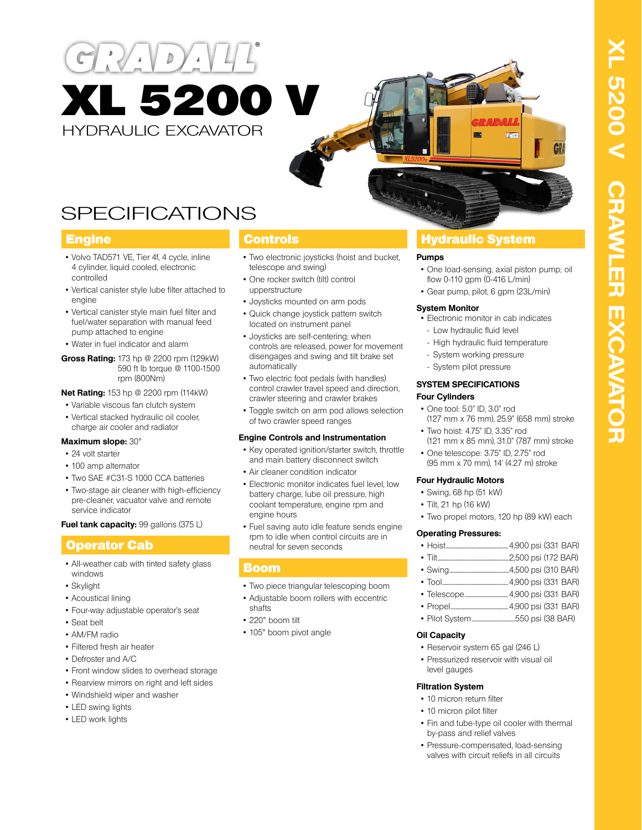



# SPECIFICATIONS

- Volvo TAD571 VE, Tier 4f, 4 cycle, inline 4 cylinder, liquid cooled, electronic controlled
- Vertical canister style lube filter attached to engine
- Vertical canister style main fuel filter and fuel/water separation with manual feed pump attached to engine
- Water in fuel indicator and alarm
- **Gross Rating:** 173 hp @ 2200 rpm (129kW) 590 ft lb torque @ 1100-1500 rpm (800Nm)

**Net Rating:** 153 hp @ 2200 rpm (114kW)

- Variable viscous fan clutch system
- Vertical stacked hydraulic oil cooler, charge air cooler and radiator

# **Maximum slope:** 30°

- 24 volt starter
- 100 amp alternator
- Two SAE #C31-S 1000 CCA batteries
- Two-stage air cleaner with high-efficiency pre-cleaner, vacuator valve and remote service indicator

**Fuel tank capacity:** 99 gallons (375 L)

# Operator Cab

- All-weather cab with tinted safety glass windows
- Skylight
- Acoustical lining
- Four-way adjustable operator's seat
- Seat belt
- AM/FM radio
- Filtered fresh air heater
- Defroster and A/C
- Front window slides to overhead storage
- Rearview mirrors on right and left sides
- Windshield wiper and washer
- LED swing lights
- LED work lights

- Two electronic joysticks (hoist and bucket, telescope and swing)
- One rocker switch (tilt) control upperstructure
- Joysticks mounted on arm pods
- Quick change joystick pattern switch located on instrument panel
- Joysticks are self-centering; when controls are released, power for movement disengages and swing and tilt brake set automatically
- Two electric foot pedals (with handles) control crawler travel speed and direction, crawler steering and crawler brakes
- Toggle switch on arm pod allows selection of two crawler speed ranges

# **Engine Controls and Instrumentation**

- Key operated ignition/starter switch, throttle and main battery disconnect switch
- Air cleaner condition indicator
- Electronic monitor indicates fuel level, low battery charge, lube oil pressure, high coolant temperature, engine rpm and engine hours
- Fuel saving auto idle feature sends engine rpm to idle when control circuits are in neutral for seven seconds

# Boom

- Two piece triangular telescoping boom
- Adjustable boom rollers with eccentric
- shafts
- 220° boom tilt
- 105° boom pivot angle

# **Engine Controls Hydraulic System**

# **Pumps**

- One load-sensing, axial piston pump; oil flow 0-110 gpm (0-416 L/min)
- Gear pump, pilot, 6 gpm (23L/min)

# **System Monitor**

- Electronic monitor in cab indicates
- Low hydraulic fluid level
	- High hydraulic fluid temperature
- System working pressure
- System pilot pressure

#### **SYSTEM SPECIFICATIONS Four Cylinders**

- One tool: 5.0" ID, 3.0" rod (127 mm x 76 mm), 25.9" (658 mm) stroke
- Two hoist: 4.75" ID, 3.35" rod
- (121 mm x 85 mm), 31.0" (787 mm) stroke • One telescope: 3.75" ID, 2.75" rod
- (95 mm x 70 mm), 14' (4.27 m) stroke

# **Four Hydraulic Motors**

- Swing, 68 hp (51 kW)
- Tilt, 21 hp (16 kW)
- Two propel motors, 120 hp (89 kW) each

# **Operating Pressures:**

- Swing...................................................4,500 psi (310 BAR)
- Tool........................................................4,900 psi (331 BAR)
- Telescope.....................................4,900 psi (331 BAR)
- Propel.................................................4,900 psi (331 BAR)
- Pilot System.....................................550 psi (38 BAR)

# **Oil Capacity**

- Reservoir system 65 gal (246 L)
- Pressurized reservoir with visual oil level gauges

# **Filtration System**

- 10 micron return filter
- 10 micron pilot filter
- Fin and tube-type oil cooler with thermal by-pass and relief valves
- Pressure-compensated, load-sensing valves with circuit reliefs in all circuits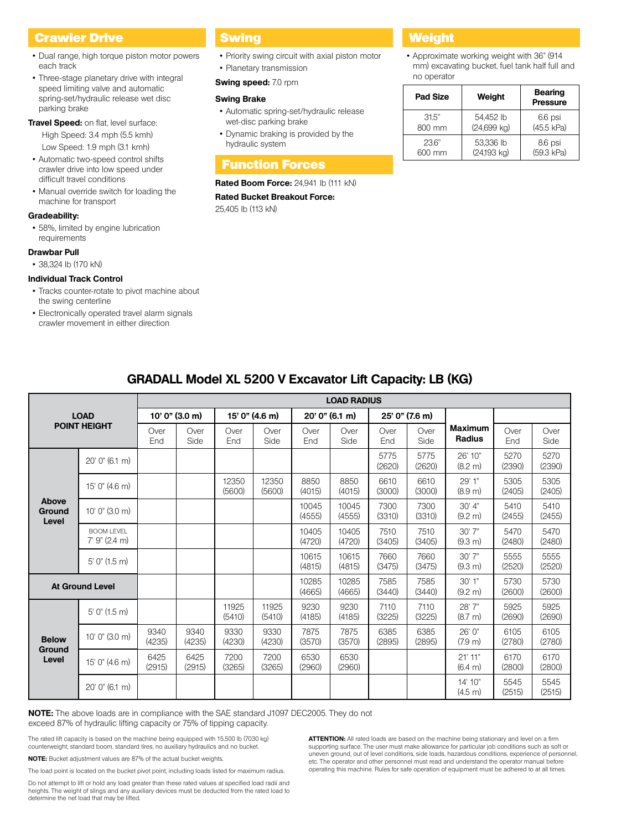# **Crawler Drive Communist Swing Communist Communist Crawler Drive Communist Communist Communist Communist Communist Communist Communist Communist Communist Communist Communist Communist Communist Communist Communist Communi**

- Dual range, high torque piston motor powers each track
- Three-stage planetary drive with integral speed limiting valve and automatic spring-set/hydraulic release wet disc parking brake
- **Travel Speed:** on flat, level surface: High Speed: 3.4 mph (5.5 kmh) Low Speed: 1.9 mph (3.1 kmh)
- Automatic two-speed control shifts crawler drive into low speed under difficult travel conditions
- Manual override switch for loading the machine for transport

#### **Gradeability:**

• 58%, limited by engine lubrication requirements

#### **Drawbar Pull**

• 38,324 lb (170 kN)

#### **Individual Track Control**

- Tracks counter-rotate to pivot machine about the swing centerline
- Electronically operated travel alarm signals crawler movement in either direction

- Priority swing circuit with axial piston motor
- Planetary transmission
- **Swing speed:** 7.0 rpm

#### **Swing Brake**

- Automatic spring-set/hydraulic release wet-disc parking brake
- Dynamic braking is provided by the hydraulic system

# Function Forces

### **Rated Boom Force: 24,941 lb (111 kN)**

**Rated Bucket Breakout Force:**  25,405 lb (113 kN)

• Approximate working weight with 36" (914 mm) excavating bucket, fuel tank half full and no operator

| <b>Pad Size</b> | Weight        | <b>Bearing</b><br><b>Pressure</b> |
|-----------------|---------------|-----------------------------------|
| 31.5"           | 54,452 lb     | 6.6 psi                           |
| 800 mm          | $(24,699$ kg) | (45.5 kPa)                        |
| 236"            | 53,336 lb     | 8.6 psi                           |
| 600 mm          | (24,193 kg)   | (59.3 kPa)                        |

|                                 |                                      |                  |                |                 |                 |                 | <b>LOAD RADIUS</b> |                |                |                          |                |                |
|---------------------------------|--------------------------------------|------------------|----------------|-----------------|-----------------|-----------------|--------------------|----------------|----------------|--------------------------|----------------|----------------|
|                                 | <b>LOAD</b>                          | $10'0''$ (3.0 m) |                | 15' 0" (4.6 m)  |                 | 20' 0'' (6.1 m) |                    | 25' 0" (7.6 m) |                |                          |                |                |
|                                 | <b>POINT HEIGHT</b>                  | Over<br>End      | Over<br>Side   | Over<br>End     | Over<br>Side    | Over<br>End     | Over<br>Side       | Over<br>End    | Over<br>Side   | <b>Maximum</b><br>Radius | Over<br>End    | Over<br>Side   |
|                                 | 20' 0" (6.1 m)                       |                  |                |                 |                 |                 |                    | 5775<br>(2620) | 5775<br>(2620) | 26' 10"<br>(8.2 m)       | 5270<br>(2390) | 5270<br>(2390) |
|                                 | 15' 0" (4.6 m)                       |                  |                | 12350<br>(5600) | 12350<br>(5600) | 8850<br>(4015)  | 8850<br>(4015)     | 6610<br>(3000) | 6610<br>(3000) | 29' 1"<br>(8.9 m)        | 5305<br>(2405) | 5305<br>(2405) |
| Above<br><b>Ground</b><br>Level | $10'$ $0''$ $(3.0 \text{ m})$        |                  |                |                 |                 | 10045<br>(4555) | 10045<br>(4555)    | 7300<br>(3310) | 7300<br>(3310) | 30' 4"<br>(9.2 m)        | 5410<br>(2455) | 5410<br>(2455) |
|                                 | <b>BOOM LEVEL</b><br>$7'$ 9" (2.4 m) |                  |                |                 |                 | 10405<br>(4720) | 10405<br>(4720)    | 7510<br>(3405) | 7510<br>(3405) | 30'7''<br>(9.3 m)        | 5470<br>(2480) | 5470<br>(2480) |
|                                 | $5'$ 0" (1.5 m)                      |                  |                |                 |                 | 10615<br>(4815) | 10615<br>(4815)    | 7660<br>(3475) | 7660<br>(3475) | 30'7"<br>(9.3 m)         | 5555<br>(2520) | 5555<br>(2520) |
|                                 | <b>At Ground Level</b>               |                  |                |                 |                 | 10285<br>(4665) | 10285<br>(4665)    | 7585<br>(3440) | 7585<br>(3440) | 30'1"<br>(9.2 m)         | 5730<br>(2600) | 5730<br>(2600) |
|                                 | $5'$ 0" (1.5 m)                      |                  |                | 11925<br>(5410) | 11925<br>(5410) | 9230<br>(4185)  | 9230<br>(4185)     | 7110<br>(3225) | 7110<br>(3225) | 28' 7"<br>(8.7 m)        | 5925<br>(2690) | 5925<br>(2690) |
| <b>Below</b>                    | 10' 0'' (3.0 m)                      | 9340<br>(4235)   | 9340<br>(4235) | 9330<br>(4230)  | 9330<br>(4230)  | 7875<br>(3570)  | 7875<br>(3570)     | 6385<br>(2895) | 6385<br>(2895) | 26'0''<br>(7.9 m)        | 6105<br>(2780) | 6105<br>(2780) |
| <b>Ground</b><br>Level          | 15' 0" (4.6 m)                       | 6425<br>(2915)   | 6425<br>(2915) | 7200<br>(3265)  | 7200<br>(3265)  | 6530<br>(2960)  | 6530<br>(2960)     |                |                | 21'11"<br>(6.4 m)        | 6170<br>(2800) | 6170<br>(2800) |
|                                 | 20' 0" (6.1 m)                       |                  |                |                 |                 |                 |                    |                |                | 14' 10"<br>(4.5 m)       | 5545<br>(2515) | 5545<br>(2515) |

# **GRADALL Model XL 5200 V Excavator Lift Capacity: LB (KG)**

exceed 87% of hydraulic lifting capacity or 75% of tipping capacity.

The rated lift capacity is based on the machine being equipped with 15,500 lb (7030 kg) counterweight, standard boom, standard tires, no auxiliary hydraulics and no bucket.

**NOTE:** Bucket adjustment values are 87% of the actual bucket weights.

The load point is located on the bucket pivot point, including loads listed for maximum radius.

Do not attempt to lift or hold any load greater than these rated values at specified load radii and heights. The weight of slings and any auxiliary devices must be deducted from the rated load to determine the net load that may be lifted.

**ATTENTION:** All rated loads are based on the machine being stationary and level on a firm supporting surface. The user must make allowance for particular job conditions such as soft or uneven ground, out of level conditions, side loads, hazardous conditions, experience of personnel, etc. The operator and other personnel must read and understand the operator manual before operating this machine. Rules for safe operation of equipment must be adhered to at all times.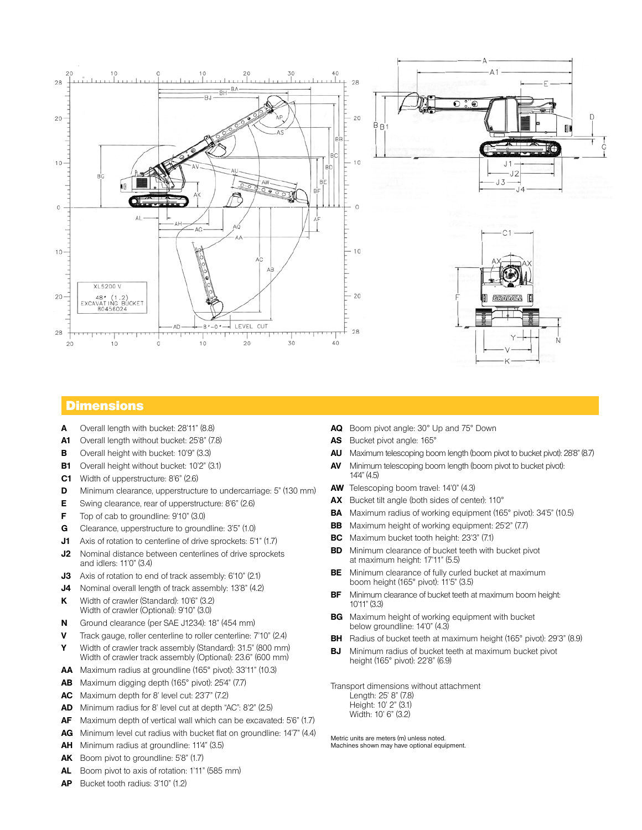

# **Dimensions**

- **A** Overall length with bucket: 28'11" (8.8)
- **A1** Overall length without bucket: 25'8" (7.8)
- **B** Overall height with bucket: 10'9" (3.3)
- **B1** Overall height without bucket: 10'2" (3.1)
- **C1** Width of upperstructure: 8'6" (2.6)
- **D** Minimum clearance, upperstructure to undercarriage: 5" (130 mm)
- **E** Swing clearance, rear of upperstructure: 8'6" (2.6)
- **F** Top of cab to groundline: 9'10" (3.0)
- **G** Clearance, upperstructure to groundline: 3'5" (1.0)
- **J1** Axis of rotation to centerline of drive sprockets: 5'1" (1.7)
- **J2** Nominal distance between centerlines of drive sprockets and idlers: 11'0" (3.4)
- **J3** Axis of rotation to end of track assembly: 6'10" (2.1)
- **J4** Nominal overall length of track assembly: 13'8" (4.2)
- **K** Width of crawler (Standard): 10'6" (3.2) Width of crawler (Optional): 9'10" (3.0)
- **N** Ground clearance (per SAE J1234): 18" (454 mm)
- **V** Track gauge, roller centerline to roller centerline: 7'10" (2.4) **Y** Width of crawler track assembly (Standard): 31.5" (800 mm)
- Width of crawler track assembly (Optional): 23.6" (600 mm) **AA** Maximum radius at groundline (165° pivot): 33'11" (10.3)
- **AB** Maximum digging depth (165° pivot): 25'4" (7.7)
- **AC** Maximum depth for 8' level cut: 23'7" (7.2)
- **AD** Minimum radius for 8' level cut at depth "AC": 8'2" (2.5)
- **AF** Maximum depth of vertical wall which can be excavated: 5'6" (1.7)
- **AG** Minimum level cut radius with bucket flat on groundline: 14'7" (4.4)
- **AH** Minimum radius at groundline: 11'4" (3.5)
- **AK** Boom pivot to groundline: 5'8" (1.7)
- **AL** Boom pivot to axis of rotation: 1'11" (585 mm)
- **AP** Bucket tooth radius: 3'10" (1.2)
- **AQ** Boom pivot angle: 30° Up and 75° Down
- **AS** Bucket pivot angle: 165°
- **AU** Maximum telescoping boom length (boom pivot to bucket pivot): 28'8" (8.7)
- **AV** Minimum telescoping boom length (boom pivot to bucket pivot): 14'4" (4.5)
- **AW** Telescoping boom travel: 14'0" (4.3)
- **AX** Bucket tilt angle (both sides of center): 110°
- **BA** Maximum radius of working equipment (165° pivot): 34'5" (10.5)
- **BB** Maximum height of working equipment: 25'2" (7.7)
- **BC** Maximum bucket tooth height: 23'3" (7.1)
- **BD** Minimum clearance of bucket teeth with bucket pivot at maximum height: 17'11" (5.5)
- **BE** Minimum clearance of fully curled bucket at maximum boom height (165° pivot): 11'5" (3.5)
- **BF** Minimum clearance of bucket teeth at maximum boom height: 10'11" (3.3)
- **BG** Maximum height of working equipment with bucket below groundline: 14'0" (4.3)
- **BH** Radius of bucket teeth at maximum height (165° pivot): 29'3" (8.9)
- **BJ** Minimum radius of bucket teeth at maximum bucket pivot height (165° pivot): 22'8" (6.9)

Transport dimensions without attachment Length: 25' 8" (7.8) Height: 10' 2" (3.1) Width: 10' 6" (3.2)

Metric units are meters (m) unless noted. Machines shown may have optional equipment.